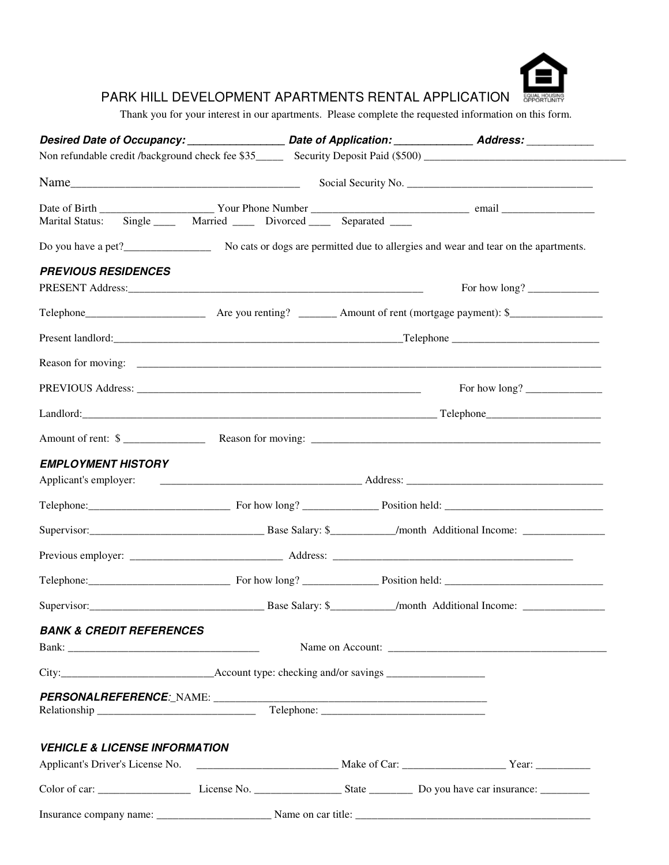

## PARK HILL DEVELOPMENT APARTMENTS RENTAL APPLICATION

Thank you for your interest in our apartments. Please complete the requested information on this form.

|                                                                                                                                                                                                                                                                                                                                                                                                        |  |  | Desired Date of Occupancy: _______________________ Date of Application: ________________ Address: ___________ |  |  |  |  |  |
|--------------------------------------------------------------------------------------------------------------------------------------------------------------------------------------------------------------------------------------------------------------------------------------------------------------------------------------------------------------------------------------------------------|--|--|---------------------------------------------------------------------------------------------------------------|--|--|--|--|--|
|                                                                                                                                                                                                                                                                                                                                                                                                        |  |  |                                                                                                               |  |  |  |  |  |
| $Name$ $\qquad \qquad$ $\qquad \qquad$ $\qquad \qquad$ $\qquad \qquad$ $\qquad \qquad$ $\qquad \qquad$ $\qquad \qquad$ $\qquad \qquad$ $\qquad \qquad$ $\qquad \qquad$ $\qquad \qquad$ $\qquad \qquad$ $\qquad \qquad$ $\qquad \qquad$ $\qquad \qquad$ $\qquad \qquad$ $\qquad \qquad$ $\qquad \qquad$ $\qquad \qquad$ $\qquad \qquad$ $\qquad \qquad$ $\qquad \qquad$ $\qquad \qquad$ $\qquad \qquad$ |  |  |                                                                                                               |  |  |  |  |  |
|                                                                                                                                                                                                                                                                                                                                                                                                        |  |  |                                                                                                               |  |  |  |  |  |
|                                                                                                                                                                                                                                                                                                                                                                                                        |  |  |                                                                                                               |  |  |  |  |  |
|                                                                                                                                                                                                                                                                                                                                                                                                        |  |  |                                                                                                               |  |  |  |  |  |
| <b>PREVIOUS RESIDENCES</b>                                                                                                                                                                                                                                                                                                                                                                             |  |  |                                                                                                               |  |  |  |  |  |
|                                                                                                                                                                                                                                                                                                                                                                                                        |  |  | For how long?                                                                                                 |  |  |  |  |  |
|                                                                                                                                                                                                                                                                                                                                                                                                        |  |  |                                                                                                               |  |  |  |  |  |
|                                                                                                                                                                                                                                                                                                                                                                                                        |  |  |                                                                                                               |  |  |  |  |  |
|                                                                                                                                                                                                                                                                                                                                                                                                        |  |  |                                                                                                               |  |  |  |  |  |
|                                                                                                                                                                                                                                                                                                                                                                                                        |  |  | For how long? $\frac{1}{\sqrt{1-\frac{1}{2}}}\left\vert \frac{1}{\sqrt{1-\frac{1}{2}}}\right\vert$            |  |  |  |  |  |
|                                                                                                                                                                                                                                                                                                                                                                                                        |  |  |                                                                                                               |  |  |  |  |  |
|                                                                                                                                                                                                                                                                                                                                                                                                        |  |  | Amount of rent: \$                                                                                            |  |  |  |  |  |
| <b>EMPLOYMENT HISTORY</b>                                                                                                                                                                                                                                                                                                                                                                              |  |  |                                                                                                               |  |  |  |  |  |
| Applicant's employer:                                                                                                                                                                                                                                                                                                                                                                                  |  |  |                                                                                                               |  |  |  |  |  |
|                                                                                                                                                                                                                                                                                                                                                                                                        |  |  |                                                                                                               |  |  |  |  |  |
|                                                                                                                                                                                                                                                                                                                                                                                                        |  |  |                                                                                                               |  |  |  |  |  |
|                                                                                                                                                                                                                                                                                                                                                                                                        |  |  |                                                                                                               |  |  |  |  |  |
|                                                                                                                                                                                                                                                                                                                                                                                                        |  |  |                                                                                                               |  |  |  |  |  |
|                                                                                                                                                                                                                                                                                                                                                                                                        |  |  |                                                                                                               |  |  |  |  |  |
| <b>BANK &amp; CREDIT REFERENCES</b>                                                                                                                                                                                                                                                                                                                                                                    |  |  |                                                                                                               |  |  |  |  |  |
|                                                                                                                                                                                                                                                                                                                                                                                                        |  |  |                                                                                                               |  |  |  |  |  |
|                                                                                                                                                                                                                                                                                                                                                                                                        |  |  |                                                                                                               |  |  |  |  |  |
|                                                                                                                                                                                                                                                                                                                                                                                                        |  |  |                                                                                                               |  |  |  |  |  |
|                                                                                                                                                                                                                                                                                                                                                                                                        |  |  |                                                                                                               |  |  |  |  |  |
| <b>VEHICLE &amp; LICENSE INFORMATION</b>                                                                                                                                                                                                                                                                                                                                                               |  |  |                                                                                                               |  |  |  |  |  |
|                                                                                                                                                                                                                                                                                                                                                                                                        |  |  |                                                                                                               |  |  |  |  |  |
|                                                                                                                                                                                                                                                                                                                                                                                                        |  |  |                                                                                                               |  |  |  |  |  |
|                                                                                                                                                                                                                                                                                                                                                                                                        |  |  |                                                                                                               |  |  |  |  |  |